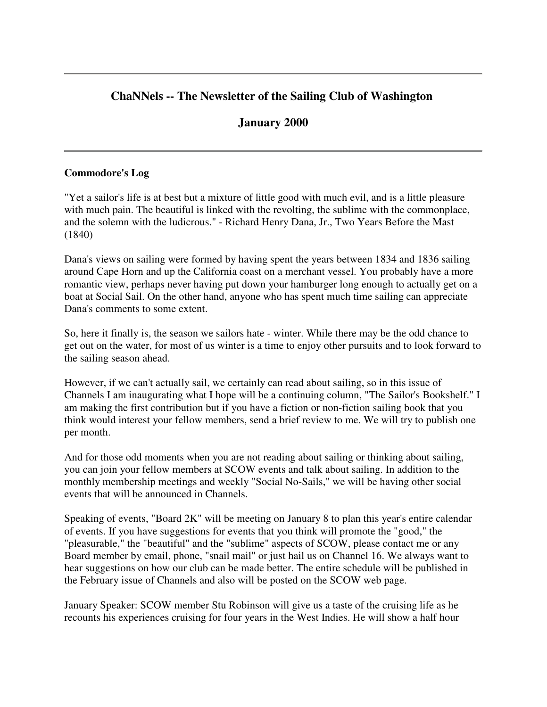# **ChaNNels -- The Newsletter of the Sailing Club of Washington**

## **January 2000**

#### **Commodore's Log**

"Yet a sailor's life is at best but a mixture of little good with much evil, and is a little pleasure with much pain. The beautiful is linked with the revolting, the sublime with the commonplace, and the solemn with the ludicrous." - Richard Henry Dana, Jr., Two Years Before the Mast (1840)

Dana's views on sailing were formed by having spent the years between 1834 and 1836 sailing around Cape Horn and up the California coast on a merchant vessel. You probably have a more romantic view, perhaps never having put down your hamburger long enough to actually get on a boat at Social Sail. On the other hand, anyone who has spent much time sailing can appreciate Dana's comments to some extent.

So, here it finally is, the season we sailors hate - winter. While there may be the odd chance to get out on the water, for most of us winter is a time to enjoy other pursuits and to look forward to the sailing season ahead.

However, if we can't actually sail, we certainly can read about sailing, so in this issue of Channels I am inaugurating what I hope will be a continuing column, "The Sailor's Bookshelf." I am making the first contribution but if you have a fiction or non-fiction sailing book that you think would interest your fellow members, send a brief review to me. We will try to publish one per month.

And for those odd moments when you are not reading about sailing or thinking about sailing, you can join your fellow members at SCOW events and talk about sailing. In addition to the monthly membership meetings and weekly "Social No-Sails," we will be having other social events that will be announced in Channels.

Speaking of events, "Board 2K" will be meeting on January 8 to plan this year's entire calendar of events. If you have suggestions for events that you think will promote the "good," the "pleasurable," the "beautiful" and the "sublime" aspects of SCOW, please contact me or any Board member by email, phone, "snail mail" or just hail us on Channel 16. We always want to hear suggestions on how our club can be made better. The entire schedule will be published in the February issue of Channels and also will be posted on the SCOW web page.

January Speaker: SCOW member Stu Robinson will give us a taste of the cruising life as he recounts his experiences cruising for four years in the West Indies. He will show a half hour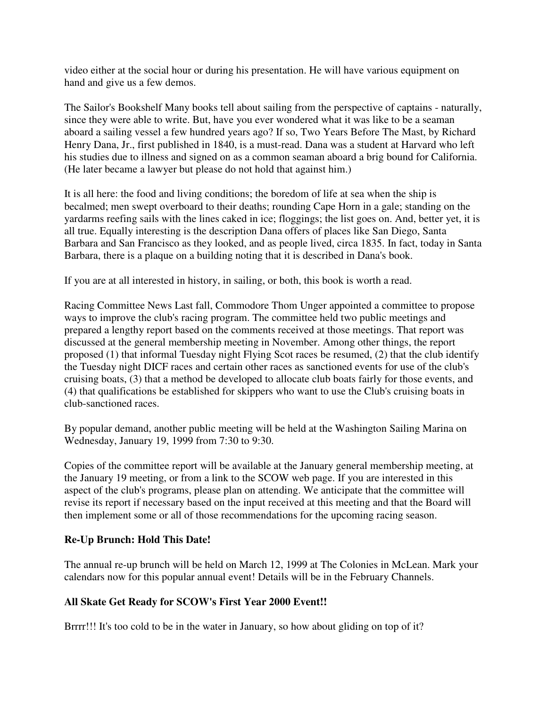video either at the social hour or during his presentation. He will have various equipment on hand and give us a few demos.

The Sailor's Bookshelf Many books tell about sailing from the perspective of captains - naturally, since they were able to write. But, have you ever wondered what it was like to be a seaman aboard a sailing vessel a few hundred years ago? If so, Two Years Before The Mast, by Richard Henry Dana, Jr., first published in 1840, is a must-read. Dana was a student at Harvard who left his studies due to illness and signed on as a common seaman aboard a brig bound for California. (He later became a lawyer but please do not hold that against him.)

It is all here: the food and living conditions; the boredom of life at sea when the ship is becalmed; men swept overboard to their deaths; rounding Cape Horn in a gale; standing on the yardarms reefing sails with the lines caked in ice; floggings; the list goes on. And, better yet, it is all true. Equally interesting is the description Dana offers of places like San Diego, Santa Barbara and San Francisco as they looked, and as people lived, circa 1835. In fact, today in Santa Barbara, there is a plaque on a building noting that it is described in Dana's book.

If you are at all interested in history, in sailing, or both, this book is worth a read.

Racing Committee News Last fall, Commodore Thom Unger appointed a committee to propose ways to improve the club's racing program. The committee held two public meetings and prepared a lengthy report based on the comments received at those meetings. That report was discussed at the general membership meeting in November. Among other things, the report proposed (1) that informal Tuesday night Flying Scot races be resumed, (2) that the club identify the Tuesday night DICF races and certain other races as sanctioned events for use of the club's cruising boats, (3) that a method be developed to allocate club boats fairly for those events, and (4) that qualifications be established for skippers who want to use the Club's cruising boats in club-sanctioned races.

By popular demand, another public meeting will be held at the Washington Sailing Marina on Wednesday, January 19, 1999 from 7:30 to 9:30.

Copies of the committee report will be available at the January general membership meeting, at the January 19 meeting, or from a link to the SCOW web page. If you are interested in this aspect of the club's programs, please plan on attending. We anticipate that the committee will revise its report if necessary based on the input received at this meeting and that the Board will then implement some or all of those recommendations for the upcoming racing season.

#### **Re-Up Brunch: Hold This Date!**

The annual re-up brunch will be held on March 12, 1999 at The Colonies in McLean. Mark your calendars now for this popular annual event! Details will be in the February Channels.

#### **All Skate Get Ready for SCOW's First Year 2000 Event!!**

Brrrr!!! It's too cold to be in the water in January, so how about gliding on top of it?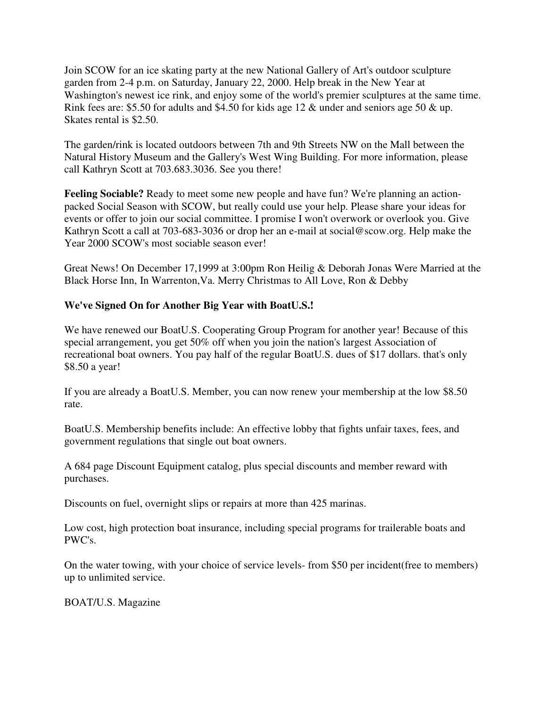Join SCOW for an ice skating party at the new National Gallery of Art's outdoor sculpture garden from 2-4 p.m. on Saturday, January 22, 2000. Help break in the New Year at Washington's newest ice rink, and enjoy some of the world's premier sculptures at the same time. Rink fees are: \$5.50 for adults and \$4.50 for kids age 12 & under and seniors age 50 & up. Skates rental is \$2.50.

The garden/rink is located outdoors between 7th and 9th Streets NW on the Mall between the Natural History Museum and the Gallery's West Wing Building. For more information, please call Kathryn Scott at 703.683.3036. See you there!

**Feeling Sociable?** Ready to meet some new people and have fun? We're planning an actionpacked Social Season with SCOW, but really could use your help. Please share your ideas for events or offer to join our social committee. I promise I won't overwork or overlook you. Give Kathryn Scott a call at 703-683-3036 or drop her an e-mail at social@scow.org. Help make the Year 2000 SCOW's most sociable season ever!

Great News! On December 17,1999 at 3:00pm Ron Heilig & Deborah Jonas Were Married at the Black Horse Inn, In Warrenton,Va. Merry Christmas to All Love, Ron & Debby

### **We've Signed On for Another Big Year with BoatU.S.!**

We have renewed our BoatU.S. Cooperating Group Program for another year! Because of this special arrangement, you get 50% off when you join the nation's largest Association of recreational boat owners. You pay half of the regular BoatU.S. dues of \$17 dollars. that's only \$8.50 a year!

If you are already a BoatU.S. Member, you can now renew your membership at the low \$8.50 rate.

BoatU.S. Membership benefits include: An effective lobby that fights unfair taxes, fees, and government regulations that single out boat owners.

A 684 page Discount Equipment catalog, plus special discounts and member reward with purchases.

Discounts on fuel, overnight slips or repairs at more than 425 marinas.

Low cost, high protection boat insurance, including special programs for trailerable boats and PWC's.

On the water towing, with your choice of service levels- from \$50 per incident(free to members) up to unlimited service.

BOAT/U.S. Magazine